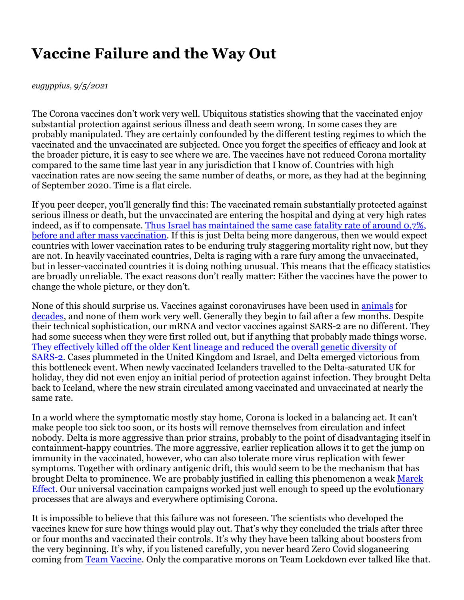## **Vaccine Failure and the Way Out**

## *eugyppius, 9/5/2021*

The Corona vaccines don't work very well. Ubiquitous statistics showing that the vaccinated enjoy substantial protection against serious illness and death seem wrong. In some cases they are probably manipulated. They are certainly confounded by the different testing regimes to which the vaccinated and the unvaccinated are subjected. Once you forget the specifics of efficacy and look at the broader picture, it is easy to see where we are. The vaccines have not reduced Corona mortality compared to the same time last year in any jurisdiction that I know of. Countries with high vaccination rates are now seeing the same number of deaths, or more, as they had at the beginning of September 2020. Time is a flat circle.

If you peer deeper, you'll generally find this: The vaccinated remain substantially protected against serious illness or death, but the unvaccinated are entering the hospital and dying at very high rates indeed, as if to compensate. Thus Israel has maintained the same case fatality rate of around 0.7%, before and after mass vaccination. If this is just Delta being more dangerous, then we would expect countries with lower vaccination rates to be enduring truly staggering mortality right now, but they are not. In heavily vaccinated countries, Delta is raging with a rare fury among the unvaccinated, but in lesser-vaccinated countries it is doing nothing unusual. This means that the efficacy statistics are broadly unreliable. The exact reasons don't really matter: Either the vaccines have the power to change the whole picture, or they don't.

None of this should surprise us. Vaccines against coronaviruses have been used in animals for decades, and none of them work very well. Generally they begin to fail after a few months. Despite their technical sophistication, our mRNA and vector vaccines against SARS-2 are no different. They had some success when they were first rolled out, but if anything that probably made things worse. They effectively killed off the older Kent lineage and reduced the overall genetic diversity of SARS-2. Cases plummeted in the United Kingdom and Israel, and Delta emerged victorious from this bottleneck event. When newly vaccinated Icelanders travelled to the Delta-saturated UK for holiday, they did not even enjoy an initial period of protection against infection. They brought Delta back to Iceland, where the new strain circulated among vaccinated and unvaccinated at nearly the same rate.

In a world where the symptomatic mostly stay home, Corona is locked in a balancing act. It can't make people too sick too soon, or its hosts will remove themselves from circulation and infect nobody. Delta is more aggressive than prior strains, probably to the point of disadvantaging itself in containment-happy countries. The more aggressive, earlier replication allows it to get the jump on immunity in the vaccinated, however, who can also tolerate more virus replication with fewer symptoms. Together with ordinary antigenic drift, this would seem to be the mechanism that has brought Delta to prominence. We are probably justified in calling this phenomenon a weak Marek Effect. Our universal vaccination campaigns worked just well enough to speed up the evolutionary processes that are always and everywhere optimising Corona.

It is impossible to believe that this failure was not foreseen. The scientists who developed the vaccines knew for sure how things would play out. That's why they concluded the trials after three or four months and vaccinated their controls. It's why they have been talking about boosters from the very beginning. It's why, if you listened carefully, you never heard Zero Covid sloganeering coming from Team Vaccine. Only the comparative morons on Team Lockdown ever talked like that.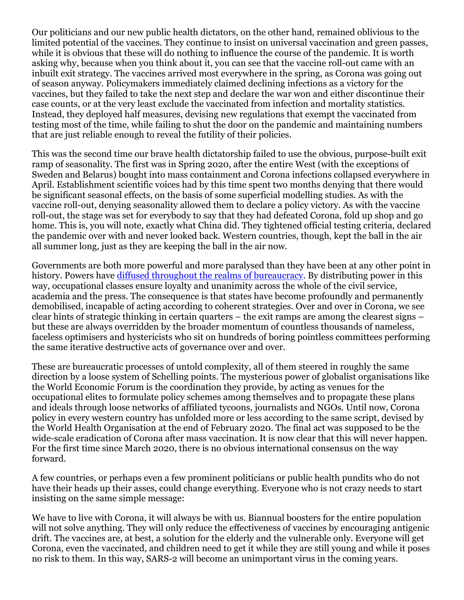Our politicians and our new public health dictators, on the other hand, remained oblivious to the limited potential of the vaccines. They continue to insist on universal vaccination and green passes, while it is obvious that these will do nothing to influence the course of the pandemic. It is worth asking why, because when you think about it, you can see that the vaccine roll-out came with an inbuilt exit strategy. The vaccines arrived most everywhere in the spring, as Corona was going out of season anyway. Policymakers immediately claimed declining infections as a victory for the vaccines, but they failed to take the next step and declare the war won and either discontinue their case counts, or at the very least exclude the vaccinated from infection and mortality statistics. Instead, they deployed half measures, devising new regulations that exempt the vaccinated from testing most of the time, while failing to shut the door on the pandemic and maintaining numbers that are just reliable enough to reveal the futility of their policies.

This was the second time our brave health dictatorship failed to use the obvious, purpose-built exit ramp of seasonality. The first was in Spring 2020, after the entire West (with the exceptions of Sweden and Belarus) bought into mass containment and Corona infections collapsed everywhere in April. Establishment scientific voices had by this time spent two months denying that there would be significant seasonal effects, on the basis of some superficial modelling studies. As with the vaccine roll-out, denying seasonality allowed them to declare a policy victory. As with the vaccine roll-out, the stage was set for everybody to say that they had defeated Corona, fold up shop and go home. This is, you will note, exactly what China did. They tightened official testing criteria, declared the pandemic over with and never looked back. Western countries, though, kept the ball in the air all summer long, just as they are keeping the ball in the air now.

Governments are both more powerful and more paralysed than they have been at any other point in history. Powers have diffused throughout the realms of bureaucracy. By distributing power in this way, occupational classes ensure loyalty and unanimity across the whole of the civil service, academia and the press. The consequence is that states have become profoundly and permanently demobilised, incapable of acting according to coherent strategies. Over and over in Corona, we see clear hints of strategic thinking in certain quarters – the exit ramps are among the clearest signs – but these are always overridden by the broader momentum of countless thousands of nameless, faceless optimisers and hystericists who sit on hundreds of boring pointless committees performing the same iterative destructive acts of governance over and over.

These are bureaucratic processes of untold complexity, all of them steered in roughly the same direction by a loose system of Schelling points. The mysterious power of globalist organisations like the World Economic Forum is the coordination they provide, by acting as venues for the occupational elites to formulate policy schemes among themselves and to propagate these plans and ideals through loose networks of affiliated tycoons, journalists and NGOs. Until now, Corona policy in every western country has unfolded more or less according to the same script, devised by the World Health Organisation at the end of February 2020. The final act was supposed to be the wide-scale eradication of Corona after mass vaccination. It is now clear that this will never happen. For the first time since March 2020, there is no obvious international consensus on the way forward.

A few countries, or perhaps even a few prominent politicians or public health pundits who do not have their heads up their asses, could change everything. Everyone who is not crazy needs to start insisting on the same simple message:

We have to live with Corona, it will always be with us. Biannual boosters for the entire population will not solve anything. They will only reduce the effectiveness of vaccines by encouraging antigenic drift. The vaccines are, at best, a solution for the elderly and the vulnerable only. Everyone will get Corona, even the vaccinated, and children need to get it while they are still young and while it poses no risk to them. In this way, SARS-2 will become an unimportant virus in the coming years.